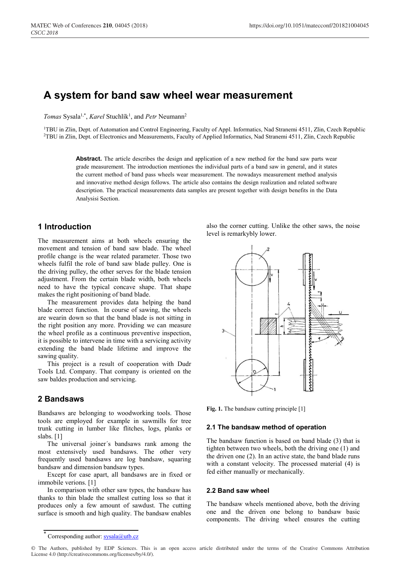# **A system for band saw wheel wear measurement**

Tomas Sysala<sup>1,\*</sup>, *Karel* Stuchlík<sup>1</sup>, and *Petr* Neumann<sup>2</sup>

1TBU in Zlin, Dept. of Automation and Control Engineering, Faculty of Appl. Informatics, Nad Stranemi 4511, Zlin, Czech Republic 2TBU in Zlin, Dept. of Electronics and Measurements, Faculty of Applied Informatics, Nad Stranemi 4511, Zlin, Czech Republic

**Abstract.** The article describes the design and application of a new method for the band saw parts wear grade measurement. The introduction mentiones the individual parts of a band saw in general, and it states the current method of band pass wheels wear measurement. The nowadays measurement method analysis and innovative method design follows. The article also contains the design realization and related software description. The practical measurements data samples are present together with design benefits in the Data Analysisi Section.

# **1 Introduction**

The measurement aims at both wheels ensuring the movement and tension of band saw blade. The wheel profile change is the wear related parameter. Those two wheels fulfil the role of band saw blade pulley. One is the driving pulley, the other serves for the blade tension adjustment. From the certain blade width, both wheels need to have the typical concave shape. That shape makes the right positioning of band blade.

The measurement provides data helping the band blade correct function. In course of sawing, the wheels are wearin down so that the band blade is not sitting in the right position any more. Providing we can measure the wheel profile as a continuous preventive inspection, it is possible to intervene in time with a servicing activity extending the band blade lifetime and improve the sawing quality.

This project is a result of cooperation with Dudr Tools Ltd. Company. That company is oriented on the saw baldes production and servicing.

# **2 Bandsaws**

Bandsaws are belonging to woodworking tools. Those tools are employed for example in sawmills for tree trunk cutting in lumber like flitches, logs, planks or slabs. [1]

The universal joiner´s bandsaws rank among the most extensively used bandsaws. The other very frequently used bandsaws are log bandsaw, squaring bandsaw and dimension bandsaw types.

Except for case apart, all bandsaws are in fixed or immobile verions. [1]

In comparison with other saw types, the bandsaw has thanks to thin blade the smallest cutting loss so that it produces only a few amount of sawdust. The cutting surface is smooth and high quality. The bandsaw enables

also the corner cutting. Unlike the other saws, the noise level is remarkybly lower.



**Fig. 1.** The bandsaw cutting principle [1]

### **2.1 The bandsaw method of operation**

The bandsaw function is based on band blade (3) that is tighten between two wheels, both the driving one (1) and the driven one (2). In an active state, the band blade runs with a constant velocity. The processed material (4) is fed either manually or mechanically.

## **2.2 Band saw wheel**

The bandsaw wheels mentioned above, both the driving one and the driven one belong to bandsaw basic components. The driving wheel ensures the cutting

Corresponding author:  $sysala@utb.cz$ 

<sup>©</sup> The Authors, published by EDP Sciences. This is an open access article distributed under the terms of the Creative Commons Attribution License 4.0 (http://creativecommons.org/licenses/by/4.0/).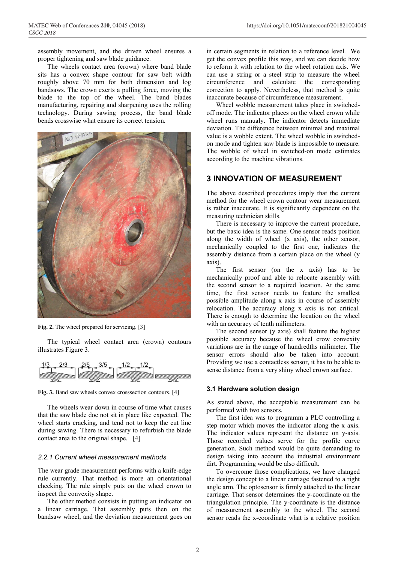assembly movement, and the driven wheel ensures a proper tightening and saw blade guidance.

The wheels contact area (crown) where band blade sits has a convex shape contour for saw belt width roughly above 70 mm for both dimension and log bandsaws. The crown exerts a pulling force, moving the blade to the top of the wheel. The band blades manufacturing, repairing and sharpening uses the rolling technology. During sawing process, the band blade bends crosswise what ensure its correct tension.



**Fig. 2.** The wheel prepared for servicing. [3]

The typical wheel contact area (crown) contours illustrates Figure 3.



**Fig. 3.** Band saw wheels convex crosssection contours. [4]

The wheels wear down in course of time what causes that the saw blade doe not sit in place like expected. The wheel starts cracking, and tend not to keep the cut line during sawing. There is necessary to refurbish the blade contact area to the original shape. [4]

### *2.2.1 Current wheel measurement methods*

The wear grade measurement performs with a knife-edge rule currently. That method is more an orientational checking. The rule simply puts on the wheel crown to inspect the convexity shape.

The other method consists in putting an indicator on a linear carriage. That assembly puts then on the bandsaw wheel, and the deviation measurement goes on

in certain segments in relation to a reference level. We get the convex profile this way, and we can decide how to reform it with relation to the wheel rotation axis. We can use a string or a steel strip to measure the wheel circumference and calculate the corresponding correction to apply. Nevertheless, that method is quite inaccurate because of circumference measurement.

Wheel wobble measurement takes place in switchedoff mode. The indicator places on the wheel crown while wheel runs manualy. The indicator detects immediate deviation. The difference between minimal and maximal value is a wobble extent. The wheel wobble in switchedon mode and tighten saw blade is impossible to measure. The wobble of wheel in switched-on mode estimates according to the machine vibrations.

# **3 INNOVATION OF MEASUREMENT**

The above described procedures imply that the current method for the wheel crown contour wear measurement is rather inaccurate. It is significantly dependent on the measuring technician skills.

There is necessary to improve the current procedure, but the basic idea is the same. One sensor reads position along the width of wheel (x axis), the other sensor, mechanically coupled to the first one, indicates the assembly distance from a certain place on the wheel (y axis).

The first sensor (on the x axis) has to be mechanically proof and able to relocate assembly with the second sensor to a required location. At the same time, the first sensor needs to feature the smallest possible amplitude along x axis in course of assembly relocation. The accuracy along x axis is not critical. There is enough to determine the location on the wheel with an accuracy of tenth milimeters.

The second sensor (y axis) shall feature the highest possible accuracy because the wheel crow convexity variations are in the range of hundredths milimeter. The sensor errors should also be taken into account. Providing we use a contactless sensor, it has to be able to sense distance from a very shiny wheel crown surface.

#### **3.1 Hardware solution design**

As stated above, the acceptable measurement can be performed with two sensors.

The first idea was to programm a PLC controlling a step motor which moves the indicator along the x axis. The indicator values represent the distance on y-axis. Those recorded values serve for the profile curve generation. Such method would be quite demanding to design taking into account the industrial environment dirt. Programming would be also difficult.

To overcome those complications, we have changed the design concept to a linear carriage fastened to a right angle arm. The optosensor is firmly attached to the linear carriage. That sensor determines the y-coordinate on the triangulation principle. The y-coordinate is the distance of measurement assembly to the wheel. The second sensor reads the x-coordinate what is a relative position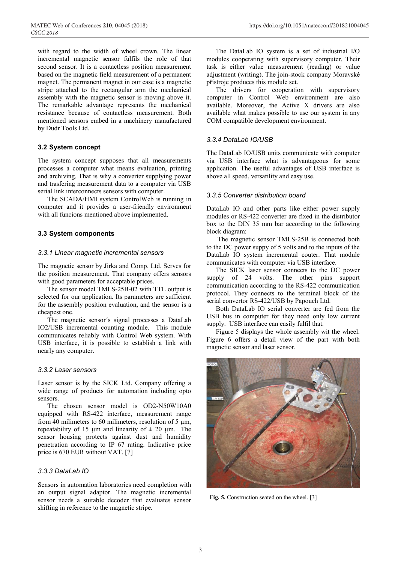with regard to the width of wheel crown. The linear incremental magnetic sensor fulfils the role of that second sensor. It is a contactless position measurement based on the magnetic field measurement of a permanent magnet. The permanent magnet in our case is a magnetic stripe attached to the rectangular arm the mechanical assembly with the magnetic sensor is moving above it. The remarkable advantage represents the mechanical resistance because of contactless measurement. Both mentioned sensors embed in a machinery manufactured by Dudr Tools Ltd.

## **3.2 System concept**

The system concept supposes that all measurements processes a computer what means evaluation, printing and archiving. That is why a converter supplying power and trasfering measurement data to a computer via USB serial link interconnects sensors with computer.

The SCADA/HMI system ControlWeb is running in computer and it provides a user-friendly environment with all funcions mentioned above implemented.

## **3.3 System components**

## *3.3.1 Linear magnetic incremental sensors*

The magnetic sensor by Jirka and Comp. Ltd. Serves for the position measurement. That company offers sensors with good parameters for acceptable prices.

The sensor model TMLS-25B-02 with TTL output is selected for our application. Its parameters are sufficient for the assembly position evaluation, and the sensor is a cheapest one.

The magnetic sensor´s signal processes a DataLab IO2/USB incremental counting module. This module communicates reliably with Control Web system. With USB interface, it is possible to establish a link with nearly any computer.

#### *3.3.2 Laser sensors*

Laser sensor is by the SICK Ltd. Company offering a wide range of products for automation including opto sensors.

The chosen sensor model is OD2-N50W10A0 equipped with RS-422 interface, measurement range from 40 milimeters to 60 milimeters, resolution of 5  $\mu$ m, repeatability of 15  $\mu$ m and linearity of  $\pm$  20  $\mu$ m. The sensor housing protects against dust and humidity penetration according to IP 67 rating. Indicative price price is 670 EUR without VAT. [7]

## *3.3.3 DataLab IO*

Sensors in automation laboratories need completion with an output signal adaptor. The magnetic incremental sensor needs a suitable decoder that evaluates sensor shifting in reference to the magnetic stripe.

The DataLab IO system is a set of industrial I/O modules cooperating with supervisory computer. Their task is either value measurement (reading) or value adjustment (writing). The join-stock company Moravské přístroje produces this module set.

The drivers for cooperation with supervisory computer in Control Web environment are also available. Moreover, the Active X drivers are also available what makes possible to use our system in any COM compatible development environment.

## *3.3.4 DataLab IO/USB*

The DataLab IO/USB units communicate with computer via USB interface what is advantageous for some application. The useful advantages of USB interface is above all speed, versatility and easy use.

## *3.3.5 Converter distribution board*

DataLab IO and other parts like either power supply modules or RS-422 converter are fixed in the distributor box to the DIN 35 mm bar according to the following block diagram:

The magnetic sensor TMLS-25B is connected both to the DC power suppy of 5 volts and to the inputs of the DataLab IO system incremental couter. That module communicates with computer via USB interface.

The SICK laser sensor connects to the DC power supply of 24 volts. The other pins support communication according to the RS-422 communication protocol. They connects to the terminal block of the serial convertor RS-422/USB by Papouch Ltd.

Both DataLab IO serial converter are fed from the USB bus in computer for they need only low current supply. USB interface can easily fulfil that.

Figure 5 displays the whole assembly wit the wheel. Figure 6 offers a detail view of the part with both magnetic sensor and laser sensor.



Fig. 5. Construction seated on the wheel. [3]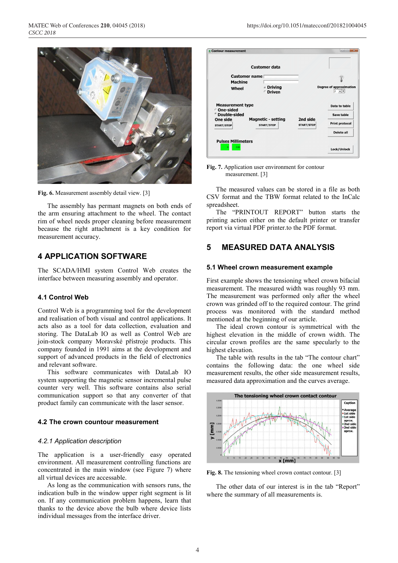

**Fig. 6.** Measurement assembly detail view. [3]

The assembly has permant magnets on both ends of the arm ensuring attachment to the wheel. The contact rim of wheel needs proper cleaning before measurement because the right attachment is a key condition for measurement accuracy.

# **4 APPLICATION SOFTWARE**

The SCADA/HMI system Control Web creates the interface between measuring assembly and operator.

## **4.1 Control Web**

Control Web is a programming tool for the development and realisation of both visual and control applications. It acts also as a tool for data collection, evaluation and storing. The DataLab IO as well as Control Web are join-stock company Moravské přístroje products. This company founded in 1991 aims at the development and support of advanced products in the field of electronics and relevant software.

This software communicates with DataLab IO system supporting the magnetic sensor incremental pulse counter very well. This software contains also serial communication support so that any converter of that product family can communicate with the laser sensor.

#### **4.2 The crown countour measurement**

#### *4.2.1 Application description*

The application is a user-friendly easy operated environment. All measurement controlling functions are concentrated in the main window (see Figure 7) where all virtual devices are accessable.

As long as the communication with sensors runs, the indication bulb in the window upper right segment is lit on. If any communication problem happens, learn that thanks to the device above the bulb where device lists individual messages from the interface driver.

| <b>Contour measurement</b>             |                                                |                               | $-$                                       |
|----------------------------------------|------------------------------------------------|-------------------------------|-------------------------------------------|
|                                        | <b>Customer data</b>                           |                               |                                           |
| Customer name                          |                                                |                               |                                           |
| <b>Machine</b>                         |                                                |                               |                                           |
| Wheel                                  | <b>c</b> Driving<br>© Driven                   |                               | <b>Degree of approximation</b><br>$2 - 1$ |
| <b>Measurement type</b><br>○ One-sided |                                                |                               | Data to table                             |
| <b>C</b> Double-sided                  |                                                |                               | Save table                                |
| One side<br><b>START/STOP</b>          | <b>Magnetic - setting</b><br><b>START/STOP</b> | 2nd side<br><b>START/STOP</b> | <b>Print protocol</b>                     |
|                                        |                                                |                               | <b>Delete all</b>                         |
| <b>Pulses Millimeters</b>              |                                                |                               |                                           |
| 0.00<br>ō                              |                                                |                               | Lock/Unlock                               |

**Fig. 7.** Application user environment for contour measurement. [3]

The measured values can be stored in a file as both CSV format and the TBW format related to the InCalc spreadsheet.

The "PRINTOUT REPORT" button starts the printing action either on the default printer or transfer report via virtual PDF printer.to the PDF format.

# **5 MEASURED DATA ANALYSIS**

#### **5.1 Wheel crown measurement example**

First example shows the tensioning wheel crown bifacial measurement. The measured width was roughly 93 mm. The measurement was performed only after the wheel crown was grinded off to the required contour. The grind process was monitored with the standard method mentioned at the beginning of our article.

The ideal crown contour is symmetrical with the highest elevation in the middle of crown width. The circular crown profiles are the same specularly to the highest elevation.

The table with results in the tab "The contour chart" contains the following data: the one wheel side measurement results, the other side measurement results, measured data approximation and the curves average.



**Fig. 8.** The tensioning wheel crown contact contour. [3]

The other data of our interest is in the tab "Report" where the summary of all measurements is.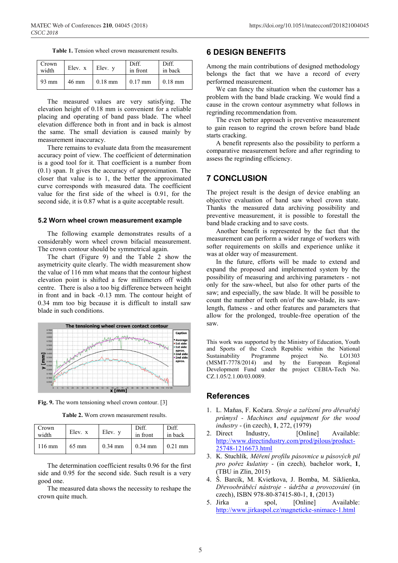| <b>Table 1.</b> Tension wheel crown measurement results. |
|----------------------------------------------------------|
|----------------------------------------------------------|

| Crown<br>width | Elev. x         | Elev. v   | Diff.<br>in front | Diff.<br>in back  |
|----------------|-----------------|-----------|-------------------|-------------------|
| 93 mm          | $46 \text{ mm}$ | $0.18$ mm | $0.17$ mm         | $0.18 \text{ mm}$ |

The measured values are very satisfying. The elevation height of 0.18 mm is convenient for a reliable placing and operating of band pass blade. The wheel elevation difference both in front and in back is almost the same. The small deviation is caused mainly by measurement inaccuracy.

There remains to evaluate data from the measurement accuracy point of view. The coefficient of determination is a good tool for it. That coefficient is a number from (0.1) span. It gives the accuracy of approximation. The closer that value is to 1, the better the approximated curve corresponds with measured data. The coefficient value for the first side of the wheel is 0.91, for the second side, it is 0.87 what is a quite acceptable result.

#### **5.2 Worn wheel crown measurement example**

The following example demonstrates results of a considerably worn wheel crown bifacial measurement. The crown contour should be symmetrical again.

The chart (Figure 9) and the Table 2 show the asymetricity quite clearly. The width measurement show the value of 116 mm what means that the contour highest elevation point is shifted a few millimeters off width centre. There is also a too big difference between height in front and in back -0.13 mm. The contour height of 0.34 mm too big because it is difficult to install saw blade in such conditions.



**Fig. 9.** The worn tensioning wheel crown contour. [3]

**Table 2.** Worn crown measurement results.

| Crown<br>width   | Elev. x         | Elev. v   | Diff.<br>in front | Diff.<br>in back |
|------------------|-----------------|-----------|-------------------|------------------|
| $116 \text{ mm}$ | $65 \text{ mm}$ | $0.34$ mm | $0.34$ mm         | $0.21$ mm        |

The determination coefficient results 0.96 for the first side and 0.95 for the second side. Such result is a very good one.

The measured data shows the necessity to reshape the crown quite much.

# **6 DESIGN BENEFITS**

Among the main contributions of designed methodology belongs the fact that we have a record of every performed measurement.

We can fancy the situation when the customer has a problem with the band blade cracking. We would find a cause in the crown contour asymmetry what follows in regrinding recommendation from.

The even better approach is preventive measurement to gain reason to regrind the crown before band blade starts cracking.

A benefit represents also the possibility to perform a comparative measurement before and after regrinding to assess the regrinding efficiency.

# **7 CONCLUSION**

The project result is the design of device enabling an objective evaluation of band saw wheel crown state. Thanks the measured data archiving possibility and preventive measurement, it is possible to forestall the band blade cracking and to save costs.

Another benefit is represented by the fact that the measurement can perform a wider range of workers with softer requirements on skills and experience unlike it was at older way of measurement.

In the future, efforts will be made to extend and expand the proposed and implemented system by the possibility of measuring and archiving parameters - not only for the saw-wheel, but also for other parts of the saw; and especially, the saw blade. It will be possible to count the number of teeth on/of the saw-blade, its sawlength, flatness - and other features and parameters that allow for the prolonged, trouble-free operation of the saw.

This work was supported by the Ministry of Education, Youth and Sports of the Czech Republic within the National Sustainability Programme project No. LO1303 (MSMT‐7778/2014) and by the European Regional Development Fund under the project CEBIA‐Tech No. CZ.1.05/2.1.00/03.0089.

# **References**

- 1. L. Maňas, F. Kočara. *Stroje a zařízení pro dřevařský průmysl - Machines and equipment for the wood industry* - (in czech), **1**, 272, (1979)
- 2. Direct Industry, [Online] Available: http://www.directindustry.com/prod/pilous/product-25748-1216673.html
- 3. K. Stuchlík*, Měření profilu pásovnice u pásových pil pro pořez kulatiny* - (in czech)*,* bachelor work, **1**, (TBU in Zlin, 2015)
- 4. Š. Barcík, M. Kvietkova, J. Bomba, M. Siklienka, *Dřevoobráběcí nástroje - údržba a provozování* (in czech), ISBN 978-80-87415-80-1, **1**, (2013)
- 5. Jirka a spol, [Online] Available: http://www.jirkaspol.cz/magneticke-snimace-1.html